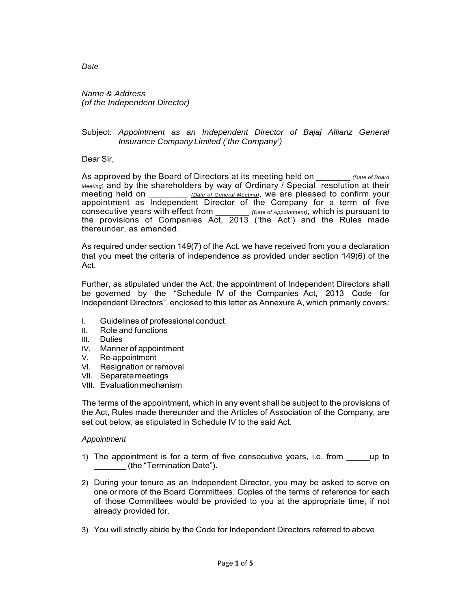*Name & Address (of the Independent Director)* 

## Subject: *Appointment as an Independent Director of Bajaj Allianz General Insurance Company Limited ('the Company')*

Dear Sir,

As approved by the Board of Directors at its meeting held on \_\_\_\_\_\_\_ *(Date of Board Meeting)* and by the shareholders by way of Ordinary / Special resolution at their meeting held on *Date of General Meeting*), we are pleased to confirm your appointment as Independent Director of the Company for a term of five consecutive years with effect from \_\_\_\_\_\_\_ *(Date of Appointment)*, which is pursuant to the provisions of Companies  $Act, 2013$  ('the Act') and the Rules made thereunder, as amended.

As required under section 149(7) of the Act, we have received from you a declaration that you meet the criteria of independence as provided under section 149(6) of the Act.

Further, as stipulated under the Act, the appointment of Independent Directors shall be governed by the "Schedule IV of the Companies Act, 2013 Code for Independent Directors", enclosed to this letter as Annexure A, which primarily covers:

- I. Guidelines of professional conduct
- II. Role and functions
- III. Duties
- IV. Manner of appointment
- V. Re-appointment
- VI. Resignation or removal
- VII. Separate meetings
- VIII. Evaluation mechanism

The terms of the appointment, which in any event shall be subject to the provisions of the Act, Rules made thereunder and the Articles of Association of the Company, are set out below, as stipulated in Schedule IV to the said Act.

# *Appointment*

- 1) The appointment is for a term of five consecutive years, i.e. from \_\_\_\_\_\_\_\_\_up to \_\_\_\_\_\_\_ (the "Termination Date").
- 2) During your tenure as an Independent Director, you may be asked to serve on one or more of the Board Committees. Copies of the terms of reference for each of those Committees would be provided to you at the appropriate time, if not already provided for.
- 3) You will strictly abide by the Code for Independent Directors referred to above

*Date*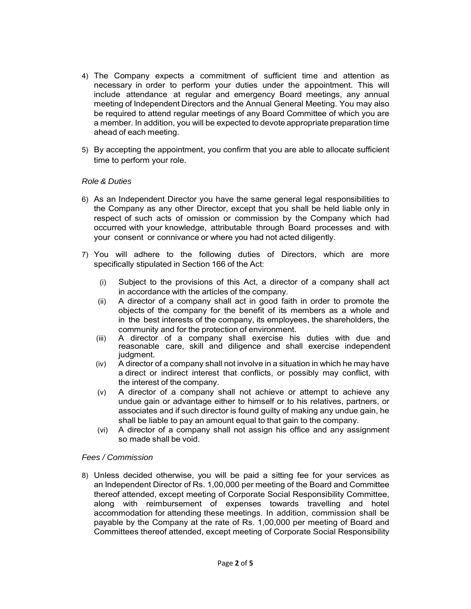- 4) The Company expects a commitment of sufficient time and attention as necessary in order to perform your duties under the appointment. This will include attendance at regular and emergency Board meetings, any annual meeting of Independent Directors and the Annual General Meeting. You may also be required to attend regular meetings of any Board Committee of which you are a member. In addition, you will be expected to devote appropriate preparation time ahead of each meeting.
- 5) By accepting the appointment, you confirm that you are able to allocate sufficient time to perform your role.

# *Role & Duties*

- 6) As an Independent Director you have the same general legal responsibilities to the Company as any other Director, except that you shall be held liable only in respect of such acts of omission or commission by the Company which had occurred with your knowledge, attributable through Board processes and with your consent or connivance or where you had not acted diligently.
- 7) You will adhere to the following duties of Directors, which are more specifically stipulated in Section 166 of the Act:
	- (i) Subject to the provisions of this Act, a director of a company shall act in accordance with the articles of the company.
	- (ii) A director of a company shall act in good faith in order to promote the objects of the company for the benefit of its members as a whole and in the best interests of the company, its employees, the shareholders, the community and for the protection of environment.
	- (iii) A director of a company shall exercise his duties with due and reasonable care, skill and diligence and shall exercise independent judgment.
	- (iv) A director of a company shall not involve in a situation in which he may have a direct or indirect interest that conflicts, or possibly may conflict, with the interest of the company.
	- (v) A director of a company shall not achieve or attempt to achieve any undue gain or advantage either to himself or to his relatives, partners, or associates and if such director is found guilty of making any undue gain, he shall be liable to pay an amount equal to that gain to the company.
	- (vi) A director of a company shall not assign his office and any assignment so made shall be void.

#### *Fees / Commission*

8) Unless decided otherwise, you will be paid a sitting fee for your services as an Independent Director of Rs. 1,00,000 per meeting of the Board and Committee thereof attended, except meeting of Corporate Social Responsibility Committee, along with reimbursement of expenses towards travelling and hotel accommodation for attending these meetings. In addition, commission shall be payable by the Company at the rate of Rs. 1,00,000 per meeting of Board and Committees thereof attended, except meeting of Corporate Social Responsibility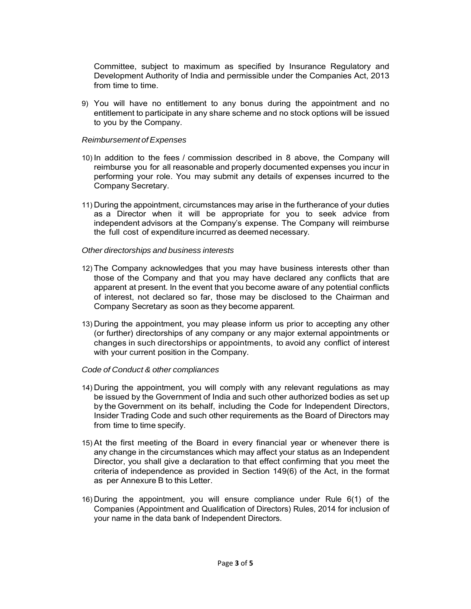Committee, subject to maximum as specified by Insurance Regulatory and Development Authority of India and permissible under the Companies Act, 2013 from time to time.

9) You will have no entitlement to any bonus during the appointment and no entitlement to participate in any share scheme and no stock options will be issued to you by the Company.

#### *Reimbursement of Expenses*

- 10) In addition to the fees / commission described in 8 above, the Company will reimburse you for all reasonable and properly documented expenses you incur in performing your role. You may submit any details of expenses incurred to the Company Secretary.
- 11) During the appointment, circumstances may arise in the furtherance of your duties as a Director when it will be appropriate for you to seek advice from independent advisors at the Company's expense. The Company will reimburse the full cost of expenditure incurred as deemed necessary.

#### *Other directorships and business interests*

- 12) The Company acknowledges that you may have business interests other than those of the Company and that you may have declared any conflicts that are apparent at present. In the event that you become aware of any potential conflicts of interest, not declared so far, those may be disclosed to the Chairman and Company Secretary as soon as they become apparent.
- 13) During the appointment, you may please inform us prior to accepting any other (or further) directorships of any company or any major external appointments or changes in such directorships or appointments, to avoid any conflict of interest with your current position in the Company.

# *Code of Conduct & other compliances*

- 14) During the appointment, you will comply with any relevant regulations as may be issued by the Government of India and such other authorized bodies as set up by the Government on its behalf, including the Code for Independent Directors, Insider Trading Code and such other requirements as the Board of Directors may from time to time specify.
- 15) At the first meeting of the Board in every financial year or whenever there is any change in the circumstances which may affect your status as an Independent Director, you shall give a declaration to that effect confirming that you meet the criteria of independence as provided in Section 149(6) of the Act, in the format as per Annexure B to this Letter.
- 16) During the appointment, you will ensure compliance under Rule 6(1) of the Companies (Appointment and Qualification of Directors) Rules, 2014 for inclusion of your name in the data bank of Independent Directors.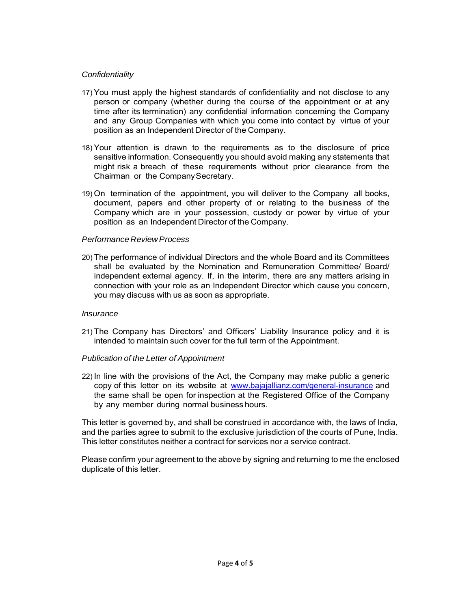# *Confidentiality*

- 17) You must apply the highest standards of confidentiality and not disclose to any person or company (whether during the course of the appointment or at any time after its termination) any confidential information concerning the Company and any Group Companies with which you come into contact by virtue of your position as an Independent Director of the Company.
- 18) Your attention is drawn to the requirements as to the disclosure of price sensitive information. Consequently you should avoid making any statements that might risk a breach of these requirements without prior clearance from the Chairman or the Company Secretary.
- 19) On termination of the appointment, you will deliver to the Company all books, document, papers and other property of or relating to the business of the Company which are in your possession, custody or power by virtue of your position as an Independent Director of the Company.

# *Performance Review Process*

20) The performance of individual Directors and the whole Board and its Committees shall be evaluated by the Nomination and Remuneration Committee/ Board/ independent external agency. If, in the interim, there are any matters arising in connection with your role as an Independent Director which cause you concern, you may discuss with us as soon as appropriate.

#### *Insurance*

21) The Company has Directors' and Officers' Liability Insurance policy and it is intended to maintain such cover for the full term of the Appointment.

# *Publication of the Letter of Appointment*

22) In line with the provisions of the Act, the Company may make public a generic copy of this letter on its website at www.bajajallianz.com/general-insurance and the same shall be open for inspection at the Registered Office of the Company by any member during normal business hours.

This letter is governed by, and shall be construed in accordance with, the laws of India, and the parties agree to submit to the exclusive jurisdiction of the courts of Pune, India. This letter constitutes neither a contract for services nor a service contract.

Please confirm your agreement to the above by signing and returning to me the enclosed duplicate of this letter.